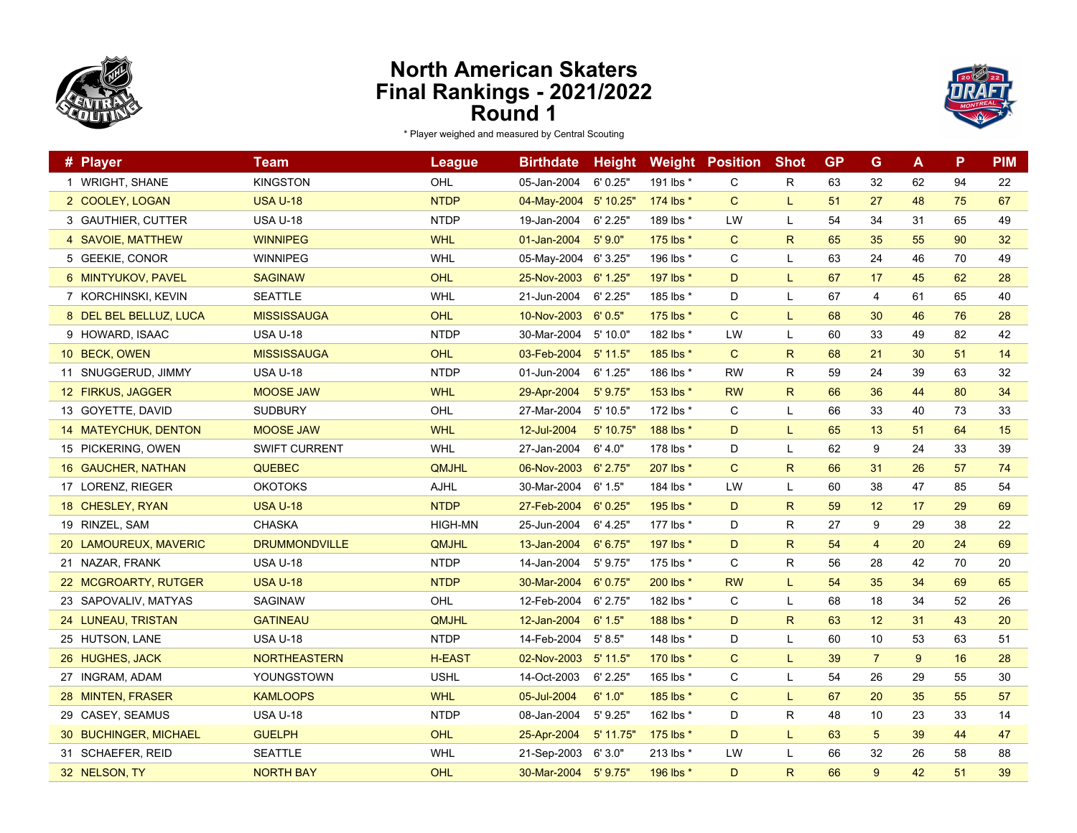



| # Player               | <b>Team</b>          | <b>League</b>  | <b>Birthdate</b> | <b>Height</b> | Weight    | <b>Position</b> | <b>Shot</b>  | <b>GP</b> | G              | A  | P  | <b>PIM</b> |
|------------------------|----------------------|----------------|------------------|---------------|-----------|-----------------|--------------|-----------|----------------|----|----|------------|
| 1 WRIGHT, SHANE        | <b>KINGSTON</b>      | <b>OHL</b>     | 05-Jan-2004      | 6'0.25"       | 191 lbs * | C               | R            | 63        | 32             | 62 | 94 | 22         |
| 2 COOLEY, LOGAN        | <b>USA U-18</b>      | <b>NTDP</b>    | 04-May-2004      | 5' 10.25"     | 174 lbs * | $\mathsf{C}$    | L            | 51        | 27             | 48 | 75 | 67         |
| 3 GAUTHIER, CUTTER     | <b>USA U-18</b>      | <b>NTDP</b>    | 19-Jan-2004      | 6' 2.25"      | 189 lbs * | LW              | L            | 54        | 34             | 31 | 65 | 49         |
| 4 SAVOIE, MATTHEW      | <b>WINNIPEG</b>      | <b>WHL</b>     | 01-Jan-2004      | 5'90"         | 175 lbs * | $\mathsf{C}$    | $\mathsf{R}$ | 65        | 35             | 55 | 90 | 32         |
| 5 GEEKIE, CONOR        | <b>WINNIPEG</b>      | <b>WHL</b>     | 05-May-2004      | 6' 3.25"      | 196 lbs * | C               | L            | 63        | 24             | 46 | 70 | 49         |
| 6 MINTYUKOV, PAVEL     | <b>SAGINAW</b>       | <b>OHL</b>     | 25-Nov-2003      | 6' 1.25''     | 197 lbs * | D               | L            | 67        | 17             | 45 | 62 | 28         |
| 7 KORCHINSKI, KEVIN    | <b>SEATTLE</b>       | <b>WHL</b>     | 21-Jun-2004      | 6' 2.25''     | 185 lbs * | D               | L            | 67        | 4              | 61 | 65 | 40         |
| 8 DEL BEL BELLUZ, LUCA | <b>MISSISSAUGA</b>   | <b>OHL</b>     | 10-Nov-2003      | 6'0.5"        | 175 lbs * | C               | L.           | 68        | 30             | 46 | 76 | 28         |
| 9 HOWARD, ISAAC        | <b>USA U-18</b>      | <b>NTDP</b>    | 30-Mar-2004      | 5'10.0"       | 182 lbs * | LW              | L            | 60        | 33             | 49 | 82 | 42         |
| 10 BECK, OWEN          | <b>MISSISSAUGA</b>   | <b>OHL</b>     | 03-Feb-2004      | $5'$ 11.5"    | 185 lbs * | $\mathsf{C}$    | $\mathsf{R}$ | 68        | 21             | 30 | 51 | 14         |
| 11 SNUGGERUD, JIMMY    | <b>USA U-18</b>      | <b>NTDP</b>    | 01-Jun-2004      | 6' 1.25"      | 186 lbs * | <b>RW</b>       | R            | 59        | 24             | 39 | 63 | 32         |
| 12 FIRKUS, JAGGER      | <b>MOOSE JAW</b>     | <b>WHL</b>     | 29-Apr-2004      | 5' 9.75''     | 153 lbs * | <b>RW</b>       | $\mathsf{R}$ | 66        | 36             | 44 | 80 | 34         |
| 13 GOYETTE, DAVID      | <b>SUDBURY</b>       | OHL            | 27-Mar-2004      | 5' 10.5"      | 172 lbs * | C               | L            | 66        | 33             | 40 | 73 | 33         |
| 14 MATEYCHUK, DENTON   | <b>MOOSE JAW</b>     | <b>WHL</b>     | 12-Jul-2004      | 5' 10.75"     | 188 lbs * | D               | L            | 65        | 13             | 51 | 64 | 15         |
| 15 PICKERING, OWEN     | <b>SWIFT CURRENT</b> | <b>WHL</b>     | 27-Jan-2004      | 6' 4.0"       | 178 lbs * | D               | L            | 62        | 9              | 24 | 33 | 39         |
| 16 GAUCHER, NATHAN     | <b>QUEBEC</b>        | <b>QMJHL</b>   | 06-Nov-2003      | $6'$ 2.75"    | 207 lbs * | $\mathsf{C}$    | $\mathsf{R}$ | 66        | 31             | 26 | 57 | 74         |
| 17 LORENZ, RIEGER      | <b>OKOTOKS</b>       | AJHL           | 30-Mar-2004      | 6' 1.5"       | 184 lbs * | LW              | L            | 60        | 38             | 47 | 85 | 54         |
| 18 CHESLEY, RYAN       | <b>USA U-18</b>      | <b>NTDP</b>    | 27-Feb-2004      | 6'0.25''      | 195 lbs * | D               | $\mathsf{R}$ | 59        | 12             | 17 | 29 | 69         |
| 19 RINZEL, SAM         | <b>CHASKA</b>        | <b>HIGH-MN</b> | 25-Jun-2004      | 6' 4.25"      | 177 lbs * | D               | R            | 27        | 9              | 29 | 38 | 22         |
| 20 LAMOUREUX, MAVERIC  | <b>DRUMMONDVILLE</b> | <b>QMJHL</b>   | 13-Jan-2004      | 6' 6.75''     | 197 lbs * | D               | $\mathsf{R}$ | 54        | $\overline{4}$ | 20 | 24 | 69         |
| 21 NAZAR, FRANK        | <b>USA U-18</b>      | <b>NTDP</b>    | 14-Jan-2004      | 5'9.75''      | 175 lbs * | C               | $\mathsf{R}$ | 56        | 28             | 42 | 70 | 20         |
| 22 MCGROARTY, RUTGER   | <b>USA U-18</b>      | <b>NTDP</b>    | 30-Mar-2004      | 6'0.75''      | 200 lbs * | <b>RW</b>       | L            | 54        | 35             | 34 | 69 | 65         |
| 23 SAPOVALIV, MATYAS   | SAGINAW              | <b>OHL</b>     | 12-Feb-2004      | 6' 2.75"      | 182 lbs * | C               | L            | 68        | 18             | 34 | 52 | 26         |
| 24 LUNEAU, TRISTAN     | <b>GATINEAU</b>      | QMJHL          | 12-Jan-2004      | 6'1.5"        | 188 lbs * | D               | $\mathsf{R}$ | 63        | 12             | 31 | 43 | 20         |
| 25 HUTSON, LANE        | <b>USA U-18</b>      | <b>NTDP</b>    | 14-Feb-2004      | 5' 8.5"       | 148 lbs * | D               | L            | 60        | 10             | 53 | 63 | 51         |
| 26 HUGHES, JACK        | <b>NORTHEASTERN</b>  | <b>H-EAST</b>  | 02-Nov-2003      | $5'$ 11.5"    | 170 lbs * | $\mathsf{C}$    | L.           | 39        | $\overline{7}$ | 9  | 16 | 28         |
| 27 INGRAM, ADAM        | YOUNGSTOWN           | <b>USHL</b>    | 14-Oct-2003      | 6' 2.25''     | 165 lbs * | C               | L            | 54        | 26             | 29 | 55 | 30         |
| 28 MINTEN, FRASER      | <b>KAMLOOPS</b>      | <b>WHL</b>     | 05-Jul-2004      | 6'1.0"        | 185 lbs * | C               | L.           | 67        | 20             | 35 | 55 | 57         |
| 29 CASEY, SEAMUS       | <b>USA U-18</b>      | <b>NTDP</b>    | 08-Jan-2004      | 5'9.25''      | 162 lbs * | D               | $\mathsf{R}$ | 48        | 10             | 23 | 33 | 14         |
| 30 BUCHINGER, MICHAEL  | <b>GUELPH</b>        | OHL            | 25-Apr-2004      | $5'$ 11.75"   | 175 lbs * | D               | L.           | 63        | $\overline{5}$ | 39 | 44 | 47         |
| 31 SCHAEFER, REID      | SEATTLE              | <b>WHL</b>     | 21-Sep-2003      | 6'3.0"        | 213 lbs * | LW              | L            | 66        | 32             | 26 | 58 | 88         |
| 32 NELSON, TY          | <b>NORTH BAY</b>     | OHL            | 30-Mar-2004      | $5'$ $9.75"$  | 196 lbs * | D               | $\mathsf{R}$ | 66        | 9              | 42 | 51 | 39         |
|                        |                      |                |                  |               |           |                 |              |           |                |    |    |            |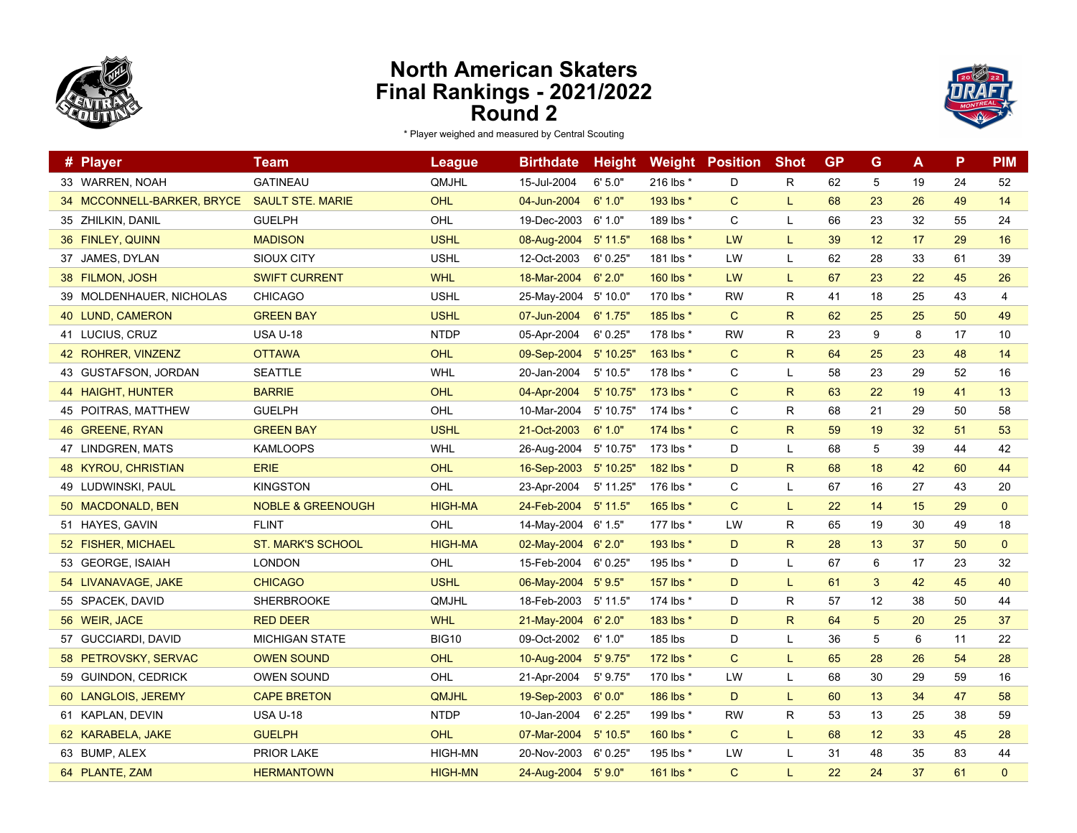



| # Player                   | Team                         | <b>League</b>  | <b>Birthdate</b>    | <b>Height</b> |           | <b>Weight Position</b> | <b>Shot</b>  | <b>GP</b> | G              | A  | P  | <b>PIM</b>     |
|----------------------------|------------------------------|----------------|---------------------|---------------|-----------|------------------------|--------------|-----------|----------------|----|----|----------------|
| 33 WARREN, NOAH            | <b>GATINEAU</b>              | QMJHL          | 15-Jul-2004         | 6'5.0''       | 216 lbs * | D                      | R            | 62        | 5              | 19 | 24 | 52             |
| 34 MCCONNELL-BARKER, BRYCE | <b>SAULT STE. MARIE</b>      | OHL            | 04-Jun-2004         | 6'1.0"        | 193 lbs * | $\mathsf{C}$           | L            | 68        | 23             | 26 | 49 | 14             |
| 35 ZHILKIN, DANIL          | <b>GUELPH</b>                | OHL            | 19-Dec-2003         | 6' 1.0"       | 189 lbs * | C                      | L            | 66        | 23             | 32 | 55 | 24             |
| 36 FINLEY, QUINN           | <b>MADISON</b>               | <b>USHL</b>    | 08-Aug-2004         | $5'$ 11.5"    | 168 lbs * | <b>LW</b>              | L            | 39        | 12             | 17 | 29 | 16             |
| 37 JAMES, DYLAN            | SIOUX CITY                   | <b>USHL</b>    | 12-Oct-2003         | 6'0.25"       | 181 lbs * | <b>LW</b>              | L            | 62        | 28             | 33 | 61 | 39             |
| 38 FILMON, JOSH            | <b>SWIFT CURRENT</b>         | <b>WHL</b>     | 18-Mar-2004         | 6'2.0"        | 160 lbs * | LW                     | L            | 67        | 23             | 22 | 45 | 26             |
| 39 MOLDENHAUER, NICHOLAS   | <b>CHICAGO</b>               | <b>USHL</b>    | 25-May-2004         | 5' 10.0"      | 170 lbs * | <b>RW</b>              | R            | 41        | 18             | 25 | 43 | $\overline{4}$ |
| 40 LUND, CAMERON           | <b>GREEN BAY</b>             | <b>USHL</b>    | 07-Jun-2004         | 6' 1.75"      | 185 lbs * | $\mathsf{C}$           | $\mathsf{R}$ | 62        | 25             | 25 | 50 | 49             |
| 41 LUCIUS, CRUZ            | <b>USA U-18</b>              | <b>NTDP</b>    | 05-Apr-2004         | 6'0.25"       | 178 lbs * | <b>RW</b>              | R.           | 23        | 9              | 8  | 17 | 10             |
| 42 ROHRER, VINZENZ         | <b>OTTAWA</b>                | OHL            | 09-Sep-2004         | 5' 10.25'     | 163 lbs * | $\mathsf{C}$           | $\mathsf{R}$ | 64        | 25             | 23 | 48 | 14             |
| 43 GUSTAFSON, JORDAN       | <b>SEATTLE</b>               | <b>WHL</b>     | 20-Jan-2004         | 5' 10.5"      | 178 lbs * | C                      | L            | 58        | 23             | 29 | 52 | 16             |
| 44 HAIGHT, HUNTER          | <b>BARRIE</b>                | OHL            | 04-Apr-2004         | 5' 10.75'     | 173 lbs * | C                      | R            | 63        | 22             | 19 | 41 | 13             |
| 45 POITRAS, MATTHEW        | <b>GUELPH</b>                | OHL            | 10-Mar-2004         | 5' 10.75'     | 174 lbs * | C                      | $\mathsf{R}$ | 68        | 21             | 29 | 50 | 58             |
| 46 GREENE, RYAN            | <b>GREEN BAY</b>             | <b>USHL</b>    | 21-Oct-2003         | 6'1.0"        | 174 lbs * | $\mathsf{C}$           | $\mathsf{R}$ | 59        | 19             | 32 | 51 | 53             |
| 47 LINDGREN, MATS          | <b>KAMLOOPS</b>              | WHL            | 26-Aug-2004         | 5' 10.75'     | 173 lbs * | D                      | L            | 68        | 5              | 39 | 44 | 42             |
| 48 KYROU, CHRISTIAN        | <b>ERIE</b>                  | OHL            | 16-Sep-2003         | 5' 10.25"     | 182 lbs * | D                      | $\mathsf{R}$ | 68        | 18             | 42 | 60 | 44             |
| 49 LUDWINSKI, PAUL         | <b>KINGSTON</b>              | OHL            | 23-Apr-2004         | 5' 11.25'     | 176 lbs * | C                      | L            | 67        | 16             | 27 | 43 | 20             |
| 50 MACDONALD, BEN          | <b>NOBLE &amp; GREENOUGH</b> | <b>HIGH-MA</b> | 24-Feb-2004         | $5'$ 11.5"    | 165 lbs * | $\mathsf{C}$           | L            | 22        | 14             | 15 | 29 | $\mathbf{0}$   |
| 51 HAYES, GAVIN            | <b>FLINT</b>                 | OHL            | 14-May-2004         | 6' 1.5"       | 177 lbs * | LW                     | R            | 65        | 19             | 30 | 49 | 18             |
| 52 FISHER, MICHAEL         | <b>ST. MARK'S SCHOOL</b>     | <b>HIGH-MA</b> | 02-May-2004 6'2.0"  |               | 193 lbs * | D                      | $\mathsf{R}$ | 28        | 13             | 37 | 50 | $\mathbf 0$    |
| 53 GEORGE, ISAIAH          | <b>LONDON</b>                | OHL            | 15-Feb-2004         | 6' 0.25"      | 195 lbs * | D                      | L            | 67        | 6              | 17 | 23 | 32             |
| 54 LIVANAVAGE, JAKE        | <b>CHICAGO</b>               | <b>USHL</b>    | 06-May-2004         | 5'9.5"        | 157 lbs * | D                      | L            | 61        | 3              | 42 | 45 | 40             |
| 55 SPACEK, DAVID           | SHERBROOKE                   | QMJHL          | 18-Feb-2003         | 5' 11.5"      | 174 lbs * | D                      | R            | 57        | 12             | 38 | 50 | 44             |
| 56 WEIR, JACE              | <b>RED DEER</b>              | <b>WHL</b>     | 21-May-2004         | 6'2.0"        | 183 lbs * | D                      | $\mathsf{R}$ | 64        | $\overline{5}$ | 20 | 25 | 37             |
| 57 GUCCIARDI, DAVID        | <b>MICHIGAN STATE</b>        | <b>BIG10</b>   | 09-Oct-2002         | 6'1.0"        | 185 lbs   | D                      | L            | 36        | 5              | 6  | 11 | 22             |
| 58 PETROVSKY, SERVAC       | <b>OWEN SOUND</b>            | OHL            | 10-Aug-2004         | 5'9.75''      | 172 lbs * | $\mathsf{C}$           | L            | 65        | 28             | 26 | 54 | 28             |
| 59 GUINDON, CEDRICK        | <b>OWEN SOUND</b>            | OHL            | 21-Apr-2004         | 5' 9.75"      | 170 lbs * | LW                     | L            | 68        | 30             | 29 | 59 | 16             |
| 60 LANGLOIS, JEREMY        | <b>CAPE BRETON</b>           | <b>QMJHL</b>   | 19-Sep-2003         | 6'0.0"        | 186 lbs * | D                      | L            | 60        | 13             | 34 | 47 | 58             |
| 61 KAPLAN, DEVIN           | <b>USA U-18</b>              | <b>NTDP</b>    | 10-Jan-2004         | 6' 2.25"      | 199 lbs * | <b>RW</b>              | $\mathsf{R}$ | 53        | 13             | 25 | 38 | 59             |
| 62 KARABELA, JAKE          | <b>GUELPH</b>                | OHL            | 07-Mar-2004         | $5'$ 10.5"    | 160 lbs * | $\mathsf{C}$           | L            | 68        | 12             | 33 | 45 | 28             |
| 63 BUMP, ALEX              | <b>PRIOR LAKE</b>            | <b>HIGH-MN</b> | 20-Nov-2003         | 6' 0.25"      | 195 lbs * | LW                     | L            | 31        | 48             | 35 | 83 | 44             |
| 64 PLANTE, ZAM             | <b>HERMANTOWN</b>            | <b>HIGH-MN</b> | 24-Aug-2004 5' 9.0" |               | 161 lbs * | $\mathsf{C}$           | L            | 22        | 24             | 37 | 61 | $\mathbf{0}$   |
|                            |                              |                |                     |               |           |                        |              |           |                |    |    |                |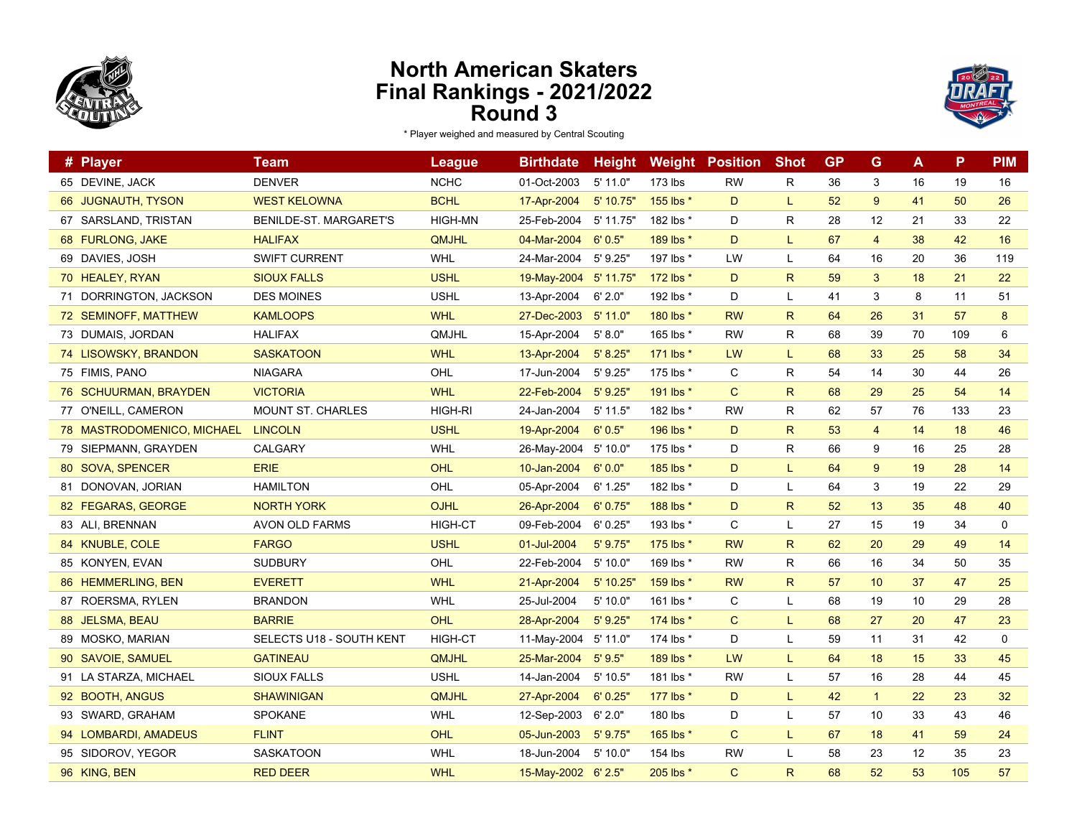



| # Player                   | <b>Team</b>                   | <b>League</b>  | <b>Birthdate</b>    | <b>Height</b> |           | <b>Weight Position</b> | <b>Shot</b>  | <b>GP</b> | G              | A  | P   | <b>PIM</b>  |
|----------------------------|-------------------------------|----------------|---------------------|---------------|-----------|------------------------|--------------|-----------|----------------|----|-----|-------------|
| 65 DEVINE, JACK            | <b>DENVER</b>                 | <b>NCHC</b>    | 01-Oct-2003         | $5'$ 11.0"    | 173 lbs   | <b>RW</b>              | R            | 36        | 3              | 16 | 19  | 16          |
| 66 JUGNAUTH, TYSON         | <b>WEST KELOWNA</b>           | <b>BCHL</b>    | 17-Apr-2004         | 5' 10.75"     | 155 lbs * | D                      | L            | 52        | 9              | 41 | 50  | 26          |
| 67 SARSLAND, TRISTAN       | <b>BENILDE-ST. MARGARET'S</b> | <b>HIGH-MN</b> | 25-Feb-2004         | 5' 11.75"     | 182 lbs * | D                      | R            | 28        | 12             | 21 | 33  | 22          |
| 68 FURLONG, JAKE           | <b>HALIFAX</b>                | <b>QMJHL</b>   | 04-Mar-2004         | 6'0.5"        | 189 lbs * | D                      | L.           | 67        | $\overline{4}$ | 38 | 42  | 16          |
| 69 DAVIES, JOSH            | <b>SWIFT CURRENT</b>          | <b>WHL</b>     | 24-Mar-2004         | 5'9.25''      | 197 lbs * | LW                     | L            | 64        | 16             | 20 | 36  | 119         |
| 70 HEALEY, RYAN            | <b>SIOUX FALLS</b>            | <b>USHL</b>    | 19-May-2004         | $5'$ 11.75"   | 172 lbs * | D                      | $\mathsf{R}$ | 59        | $\mathbf{3}$   | 18 | 21  | 22          |
| 71 DORRINGTON, JACKSON     | <b>DES MOINES</b>             | <b>USHL</b>    | 13-Apr-2004         | 6'2.0"        | 192 lbs * | D                      | L            | 41        | 3              | 8  | 11  | 51          |
| 72 SEMINOFF, MATTHEW       | <b>KAMLOOPS</b>               | <b>WHL</b>     | 27-Dec-2003         | $5'$ 11.0"    | 180 lbs * | <b>RW</b>              | $\mathsf{R}$ | 64        | 26             | 31 | 57  | 8           |
| 73 DUMAIS, JORDAN          | <b>HALIFAX</b>                | QMJHL          | 15-Apr-2004         | 5' 8.0"       | 165 lbs * | <b>RW</b>              | R            | 68        | 39             | 70 | 109 | 6           |
| 74 LISOWSKY, BRANDON       | <b>SASKATOON</b>              | <b>WHL</b>     | 13-Apr-2004         | 5' 8.25"      | 171 lbs * | LW                     | L.           | 68        | 33             | 25 | 58  | 34          |
| 75 FIMIS, PANO             | <b>NIAGARA</b>                | OHL            | 17-Jun-2004         | 5' 9.25"      | 175 lbs * | C                      | R            | 54        | 14             | 30 | 44  | 26          |
| 76 SCHUURMAN, BRAYDEN      | <b>VICTORIA</b>               | <b>WHL</b>     | 22-Feb-2004         | 5'9.25''      | 191 lbs * | $\mathsf{C}$           | $\mathsf{R}$ | 68        | 29             | 25 | 54  | 14          |
| 77 O'NEILL, CAMERON        | <b>MOUNT ST. CHARLES</b>      | HIGH-RI        | 24-Jan-2004         | $5'$ 11.5"    | 182 lbs * | <b>RW</b>              | R            | 62        | 57             | 76 | 133 | 23          |
| 78 MASTRODOMENICO, MICHAEL | <b>LINCOLN</b>                | <b>USHL</b>    | 19-Apr-2004         | 6'0.5"        | 196 lbs * | D                      | $\mathsf{R}$ | 53        | $\overline{4}$ | 14 | 18  | 46          |
| 79 SIEPMANN, GRAYDEN       | <b>CALGARY</b>                | WHL            | 26-May-2004         | 5'10.0"       | 175 lbs * | D                      | R            | 66        | 9              | 16 | 25  | 28          |
| 80 SOVA, SPENCER           | <b>ERIE</b>                   | <b>OHL</b>     | 10-Jan-2004         | 6'0.0"        | 185 lbs * | D                      | L.           | 64        | 9              | 19 | 28  | 14          |
| 81 DONOVAN, JORIAN         | <b>HAMILTON</b>               | OHL            | 05-Apr-2004         | 6' 1.25"      | 182 lbs * | D                      | L            | 64        | 3              | 19 | 22  | 29          |
| 82 FEGARAS, GEORGE         | <b>NORTH YORK</b>             | OJHL           | 26-Apr-2004         | 6'0.75''      | 188 lbs * | D                      | $\mathsf{R}$ | 52        | 13             | 35 | 48  | 40          |
| 83 ALI, BRENNAN            | <b>AVON OLD FARMS</b>         | <b>HIGH-CT</b> | 09-Feb-2004         | 6'0.25"       | 193 lbs * | C                      | L            | 27        | 15             | 19 | 34  | $\mathbf 0$ |
| 84 KNUBLE, COLE            | <b>FARGO</b>                  | <b>USHL</b>    | 01-Jul-2004         | $5'$ 9.75"    | 175 lbs * | <b>RW</b>              | R            | 62        | 20             | 29 | 49  | 14          |
| 85 KONYEN, EVAN            | <b>SUDBURY</b>                | OHL            | 22-Feb-2004         | 5'10.0"       | 169 lbs * | <b>RW</b>              | R            | 66        | 16             | 34 | 50  | 35          |
| 86 HEMMERLING, BEN         | <b>EVERETT</b>                | <b>WHL</b>     | 21-Apr-2004         | 5' 10.25"     | 159 lbs * | <b>RW</b>              | $\mathsf{R}$ | 57        | 10             | 37 | 47  | 25          |
| 87 ROERSMA, RYLEN          | <b>BRANDON</b>                | WHL            | 25-Jul-2004         | 5' 10.0"      | 161 lbs * | C                      | L            | 68        | 19             | 10 | 29  | 28          |
| 88 JELSMA, BEAU            | <b>BARRIE</b>                 | OHL            | 28-Apr-2004         | 5'9.25''      | 174 lbs * | C                      | L            | 68        | 27             | 20 | 47  | 23          |
| 89 MOSKO, MARIAN           | SELECTS U18 - SOUTH KENT      | <b>HIGH-CT</b> | 11-May-2004         | 5' 11.0"      | 174 lbs * | D                      | L            | 59        | 11             | 31 | 42  | 0           |
| 90 SAVOIE, SAMUEL          | <b>GATINEAU</b>               | <b>QMJHL</b>   | 25-Mar-2004         | 5'9.5"        | 189 lbs * | LW                     | L            | 64        | 18             | 15 | 33  | 45          |
| 91 LA STARZA, MICHAEL      | <b>SIOUX FALLS</b>            | <b>USHL</b>    | 14-Jan-2004         | 5' 10.5"      | 181 lbs * | <b>RW</b>              | L            | 57        | 16             | 28 | 44  | 45          |
| 92 BOOTH, ANGUS            | <b>SHAWINIGAN</b>             | QMJHL          | 27-Apr-2004         | 6'0.25''      | 177 lbs * | D                      | L            | 42        | $\mathbf{1}$   | 22 | 23  | 32          |
| 93 SWARD, GRAHAM           | <b>SPOKANE</b>                | <b>WHL</b>     | 12-Sep-2003         | 6'2.0"        | 180 lbs   | D                      | L            | 57        | 10             | 33 | 43  | 46          |
| 94 LOMBARDI, AMADEUS       | <b>FLINT</b>                  | OHL            | 05-Jun-2003         | 5' 9.75'      | 165 lbs * | $\mathsf{C}$           | L            | 67        | 18             | 41 | 59  | 24          |
| 95 SIDOROV, YEGOR          | <b>SASKATOON</b>              | WHL            | 18-Jun-2004         | 5' 10.0"      | 154 lbs   | <b>RW</b>              | L            | 58        | 23             | 12 | 35  | 23          |
| 96 KING, BEN               | <b>RED DEER</b>               | <b>WHL</b>     | 15-May-2002 6' 2.5" |               | 205 lbs * | $\mathsf{C}$           | $\mathsf{R}$ | 68        | 52             | 53 | 105 | 57          |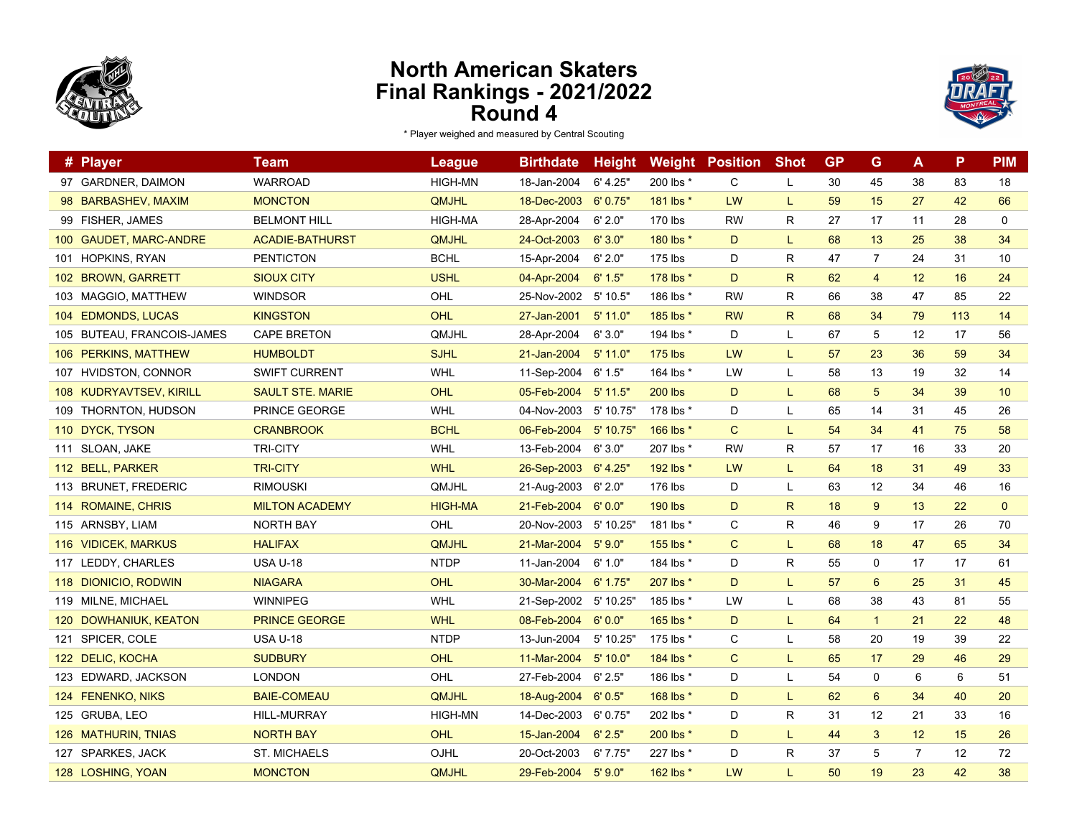



|     | # Player                   | Team                    | League         | <b>Birthdate</b> | <b>Height</b> | Weight         | <b>Position</b> | <b>Shot</b>  | <b>GP</b> | G               | A              | P   | <b>PIM</b>   |
|-----|----------------------------|-------------------------|----------------|------------------|---------------|----------------|-----------------|--------------|-----------|-----------------|----------------|-----|--------------|
|     | 97 GARDNER, DAIMON         | <b>WARROAD</b>          | <b>HIGH-MN</b> | 18-Jan-2004      | 6' 4.25"      | 200 lbs *      | $\mathsf{C}$    | L            | 30        | 45              | 38             | 83  | 18           |
|     | 98 BARBASHEV, MAXIM        | <b>MONCTON</b>          | <b>QMJHL</b>   | 18-Dec-2003      | 6'0.75''      | 181 lbs *      | LW              | L            | 59        | 15              | 27             | 42  | 66           |
|     | 99 FISHER, JAMES           | <b>BELMONT HILL</b>     | <b>HIGH-MA</b> | 28-Apr-2004      | 6' 2.0"       | 170 lbs        | <b>RW</b>       | R            | 27        | 17              | 11             | 28  | $\mathbf 0$  |
|     | 100 GAUDET, MARC-ANDRE     | <b>ACADIE-BATHURST</b>  | <b>QMJHL</b>   | 24-Oct-2003      | 6'3.0"        | 180 lbs *      | D               | L            | 68        | 13              | 25             | 38  | 34           |
| 101 | HOPKINS, RYAN              | <b>PENTICTON</b>        | <b>BCHL</b>    | 15-Apr-2004      | 6' 2.0"       | 175 lbs        | D               | R            | 47        | 7               | 24             | 31  | 10           |
|     | 102 BROWN, GARRETT         | <b>SIOUX CITY</b>       | <b>USHL</b>    | 04-Apr-2004      | 6' 1.5"       | 178 lbs $*$    | D               | $\mathsf{R}$ | 62        | $\overline{4}$  | 12             | 16  | 24           |
|     | 103 MAGGIO, MATTHEW        | <b>WINDSOR</b>          | OHL            | 25-Nov-2002      | 5' 10.5"      | 186 lbs *      | <b>RW</b>       | R            | 66        | 38              | 47             | 85  | 22           |
|     | 104 EDMONDS, LUCAS         | <b>KINGSTON</b>         | OHL            | 27-Jan-2001      | 5' 11.0"      | 185 lbs *      | <b>RW</b>       | R.           | 68        | 34              | 79             | 113 | 14           |
|     | 105 BUTEAU, FRANCOIS-JAMES | <b>CAPE BRETON</b>      | QMJHL          | 28-Apr-2004      | 6'3.0"        | 194 lbs *      | D               | L            | 67        | 5               | 12             | 17  | 56           |
|     | 106 PERKINS, MATTHEW       | <b>HUMBOLDT</b>         | <b>SJHL</b>    | 21-Jan-2004      | $5'$ 11.0"    | $175$ lbs      | LW              | L            | 57        | 23              | 36             | 59  | 34           |
|     | 107 HVIDSTON, CONNOR       | <b>SWIFT CURRENT</b>    | WHL            | 11-Sep-2004      | 6' 1.5"       | 164 lbs *      | LW              | L            | 58        | 13              | 19             | 32  | 14           |
|     | 108 KUDRYAVTSEV, KIRILL    | <b>SAULT STE. MARIE</b> | OHL            | 05-Feb-2004      | $5'$ 11.5"    | <b>200 lbs</b> | D               | L            | 68        | $\overline{5}$  | 34             | 39  | 10           |
|     | 109 THORNTON, HUDSON       | PRINCE GEORGE           | <b>WHL</b>     | 04-Nov-2003      | 5' 10.75'     | 178 lbs *      | D               | L            | 65        | 14              | 31             | 45  | 26           |
|     | 110 DYCK, TYSON            | <b>CRANBROOK</b>        | <b>BCHL</b>    | 06-Feb-2004      | $5'$ 10.75'   | 166 lbs *      | $\mathsf{C}$    | L            | 54        | 34              | 41             | 75  | 58           |
|     | 111 SLOAN, JAKE            | <b>TRI-CITY</b>         | <b>WHL</b>     | 13-Feb-2004      | 6'3.0"        | 207 lbs *      | <b>RW</b>       | R            | 57        | 17              | 16             | 33  | 20           |
|     | 112 BELL, PARKER           | <b>TRI-CITY</b>         | <b>WHL</b>     | 26-Sep-2003      | 6' 4.25''     | 192 lbs *      | <b>LW</b>       | L.           | 64        | 18              | 31             | 49  | 33           |
|     | 113 BRUNET, FREDERIC       | <b>RIMOUSKI</b>         | QMJHL          | 21-Aug-2003      | 6' 2.0"       | 176 lbs        | D               | L            | 63        | 12              | 34             | 46  | 16           |
|     | 114 ROMAINE, CHRIS         | <b>MILTON ACADEMY</b>   | <b>HIGH-MA</b> | 21-Feb-2004      | 6'0.0"        | <b>190 lbs</b> | D               | $\mathsf{R}$ | 18        | 9               | 13             | 22  | $\mathbf{0}$ |
|     | 115 ARNSBY, LIAM           | NORTH BAY               | OHL            | 20-Nov-2003      | 5' 10.25'     | 181 lbs *      | C               | R            | 46        | 9               | 17             | 26  | 70           |
|     | 116 VIDICEK, MARKUS        | <b>HALIFAX</b>          | QMJHL          | 21-Mar-2004      | 5'9.0"        | 155 lbs *      | $\mathsf{C}$    | L            | 68        | 18              | 47             | 65  | 34           |
|     | 117 LEDDY, CHARLES         | <b>USA U-18</b>         | <b>NTDP</b>    | 11-Jan-2004      | 6' 1.0"       | 184 lbs *      | D               | R            | 55        | 0               | 17             | 17  | 61           |
|     | 118 DIONICIO, RODWIN       | <b>NIAGARA</b>          | OHL            | 30-Mar-2004      | 6' 1.75''     | 207 lbs *      | D               | L            | 57        | $6\phantom{1}6$ | 25             | 31  | 45           |
|     | 119 MILNE, MICHAEL         | <b>WINNIPEG</b>         | WHL            | 21-Sep-2002      | 5' 10.25'     | 185 lbs *      | LW              | L            | 68        | 38              | 43             | 81  | 55           |
|     | 120 DOWHANIUK, KEATON      | <b>PRINCE GEORGE</b>    | <b>WHL</b>     | 08-Feb-2004      | 6'0.0"        | 165 lbs *      | D               | L            | 64        | $\mathbf{1}$    | 21             | 22  | 48           |
|     | 121 SPICER, COLE           | <b>USA U-18</b>         | <b>NTDP</b>    | 13-Jun-2004      | 5' 10.25'     | 175 lbs *      | C               | L            | 58        | 20              | 19             | 39  | 22           |
|     | 122 DELIC, KOCHA           | <b>SUDBURY</b>          | OHL            | 11-Mar-2004      | 5'10.0"       | 184 lbs *      | $\mathsf{C}$    | L            | 65        | 17              | 29             | 46  | 29           |
|     | 123 EDWARD, JACKSON        | <b>LONDON</b>           | OHL            | 27-Feb-2004      | 6' 2.5"       | 186 lbs *      | D               | L            | 54        | $\mathbf 0$     | 6              | 6   | 51           |
|     | 124 FENENKO, NIKS          | <b>BAIE-COMEAU</b>      | QMJHL          | 18-Aug-2004      | 6'0.5"        | 168 lbs *      | D               | L            | 62        | $6\phantom{1}6$ | 34             | 40  | 20           |
|     | 125 GRUBA, LEO             | <b>HILL-MURRAY</b>      | <b>HIGH-MN</b> | 14-Dec-2003      | 6'0.75''      | 202 lbs *      | D               | R            | 31        | 12              | 21             | 33  | 16           |
|     | 126 MATHURIN, TNIAS        | <b>NORTH BAY</b>        | OHL            | 15-Jan-2004      | 6' 2.5"       | 200 lbs *      | D               | L            | 44        | 3               | 12             | 15  | 26           |
|     | 127 SPARKES, JACK          | <b>ST. MICHAELS</b>     | OJHL           | 20-Oct-2003      | 6'7.75''      | 227 lbs *      | D               | R            | 37        | 5               | $\overline{7}$ | 12  | 72           |
|     | 128 LOSHING, YOAN          | <b>MONCTON</b>          | QMJHL          | 29-Feb-2004      | 5'90"         | 162 lbs *      | LW              | L.           | 50        | 19              | 23             | 42  | 38           |
|     |                            |                         |                |                  |               |                |                 |              |           |                 |                |     |              |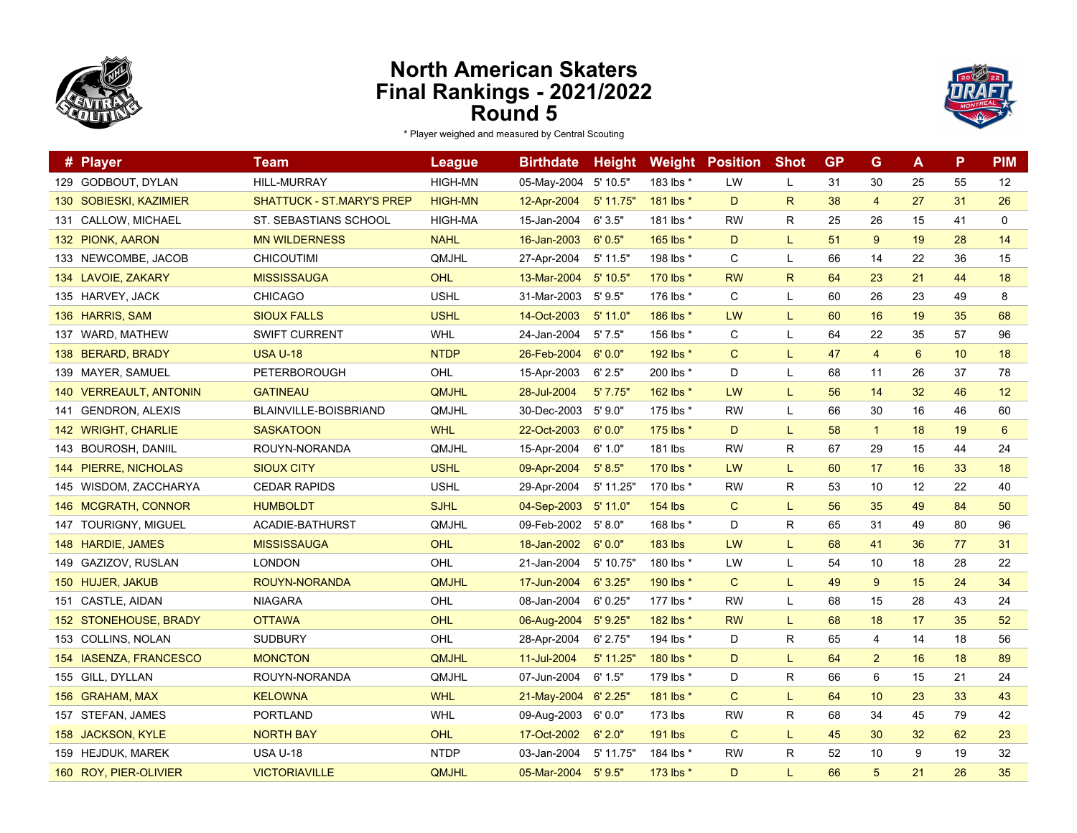



| # Player                       | Team                             | League         | <b>Birthdate</b>     | <b>Height</b> |                | <b>Weight Position</b> | <b>Shot</b>  | <b>GP</b> | G              | A  | P  | <b>PIM</b>  |
|--------------------------------|----------------------------------|----------------|----------------------|---------------|----------------|------------------------|--------------|-----------|----------------|----|----|-------------|
| 129 GODBOUT, DYLAN             | <b>HILL-MURRAY</b>               | <b>HIGH-MN</b> | 05-May-2004          | 5' 10.5"      | 183 lbs *      | LW                     | L            | 31        | 30             | 25 | 55 | 12          |
| 130 SOBIESKI, KAZIMIER         | <b>SHATTUCK - ST MARY'S PREP</b> | <b>HIGH-MN</b> | 12-Apr-2004          | $5'$ 11.75'   | 181 lbs *      | D                      | $\mathsf{R}$ | 38        | $\overline{4}$ | 27 | 31 | 26          |
| 131 CALLOW, MICHAEL            | <b>ST. SEBASTIANS SCHOOL</b>     | <b>HIGH-MA</b> | 15-Jan-2004          | 6'3.5"        | 181 lbs *      | <b>RW</b>              | $\mathsf{R}$ | 25        | 26             | 15 | 41 | $\mathbf 0$ |
| 132 PIONK, AARON               | <b>MN WILDERNESS</b>             | <b>NAHL</b>    | 16-Jan-2003          | 6'0.5"        | 165 lbs *      | D                      | L.           | 51        | 9              | 19 | 28 | 14          |
| 133 NEWCOMBE, JACOB            | CHICOUTIMI                       | QMJHL          | 27-Apr-2004          | $5'$ 11.5"    | 198 lbs *      | C                      | L            | 66        | 14             | 22 | 36 | 15          |
| 134 LAVOIE, ZAKARY             | <b>MISSISSAUGA</b>               | <b>OHL</b>     | 13-Mar-2004          | $5'$ 10.5"    | 170 lbs *      | <b>RW</b>              | $\mathsf{R}$ | 64        | 23             | 21 | 44 | 18          |
| 135 HARVEY, JACK               | <b>CHICAGO</b>                   | <b>USHL</b>    | 31-Mar-2003          | 5'9.5"        | 176 lbs *      | C                      | L            | 60        | 26             | 23 | 49 | 8           |
| 136 HARRIS, SAM                | <b>SIOUX FALLS</b>               | <b>USHL</b>    | 14-Oct-2003          | $5'$ 11.0"    | 186 lbs *      | LW                     | L.           | 60        | 16             | 19 | 35 | 68          |
| 137 WARD, MATHEW               | <b>SWIFT CURRENT</b>             | WHL            | 24-Jan-2004          | 5'7.5"        | 156 lbs *      | C                      | L            | 64        | 22             | 35 | 57 | 96          |
| 138 BERARD, BRADY              | <b>USA U-18</b>                  | <b>NTDP</b>    | 26-Feb-2004          | 6'0.0"        | 192 lbs *      | $\mathsf{C}$           | L            | 47        | $\overline{4}$ | 6  | 10 | 18          |
| 139 MAYER, SAMUEL              | PETERBOROUGH                     | OHL            | 15-Apr-2003          | 6' 2.5"       | 200 lbs *      | D                      | L            | 68        | 11             | 26 | 37 | 78          |
| 140 VERREAULT, ANTONIN         | <b>GATINEAU</b>                  | <b>QMJHL</b>   | 28-Jul-2004          | 5'7.75''      | 162 lbs *      | LW                     | L.           | 56        | 14             | 32 | 46 | 12          |
| <b>GENDRON, ALEXIS</b><br>141  | BLAINVILLE-BOISBRIAND            | QMJHL          | 30-Dec-2003          | 5'9.0"        | 175 lbs *      | <b>RW</b>              | L            | 66        | 30             | 16 | 46 | 60          |
| 142 WRIGHT, CHARLIE            | <b>SASKATOON</b>                 | <b>WHL</b>     | 22-Oct-2003          | 6'0.0"        | 175 lbs $*$    | D                      | L            | 58        | $\mathbf{1}$   | 18 | 19 | 6           |
| 143 BOUROSH, DANIIL            | ROUYN-NORANDA                    | QMJHL          | 15-Apr-2004          | 6' 1.0"       | 181 lbs        | <b>RW</b>              | R            | 67        | 29             | 15 | 44 | 24          |
| 144 PIERRE, NICHOLAS           | <b>SIOUX CITY</b>                | <b>USHL</b>    | 09-Apr-2004          | 5' 8.5"       | 170 lbs *      | LW                     | L.           | 60        | 17             | 16 | 33 | 18          |
| WISDOM, ZACCHARYA<br>145       | <b>CEDAR RAPIDS</b>              | <b>USHL</b>    | 29-Apr-2004          | 5' 11.25'     | 170 lbs *      | <b>RW</b>              | $\mathsf{R}$ | 53        | 10             | 12 | 22 | 40          |
| 146 MCGRATH, CONNOR            | <b>HUMBOLDT</b>                  | <b>SJHL</b>    | 04-Sep-2003          | $5'$ 11.0"    | $154$ lbs      | $\mathsf{C}$           | L            | 56        | 35             | 49 | 84 | 50          |
| <b>TOURIGNY, MIGUEL</b><br>147 | ACADIE-BATHURST                  | QMJHL          | 09-Feb-2002          | 5' 8.0"       | 168 lbs *      | D                      | R            | 65        | 31             | 49 | 80 | 96          |
| 148 HARDIE, JAMES              | <b>MISSISSAUGA</b>               | OHL            | 18-Jan-2002          | 6'0.0"        | <b>183 lbs</b> | LW                     | L.           | 68        | 41             | 36 | 77 | 31          |
| 149 GAZIZOV, RUSLAN            | <b>LONDON</b>                    | OHL            | 21-Jan-2004          | 5' 10.75'     | 180 lbs *      | LW                     | L            | 54        | 10             | 18 | 28 | 22          |
| 150 HUJER, JAKUB               | ROUYN-NORANDA                    | <b>QMJHL</b>   | 17-Jun-2004          | 6'3.25"       | 190 lbs *      | $\mathsf{C}$           | L            | 49        | 9              | 15 | 24 | 34          |
| 151 CASTLE, AIDAN              | <b>NIAGARA</b>                   | OHL            | 08-Jan-2004          | 6'0.25"       | 177 lbs *      | <b>RW</b>              | L            | 68        | 15             | 28 | 43 | 24          |
| 152 STONEHOUSE, BRADY          | <b>OTTAWA</b>                    | OHL            | 06-Aug-2004          | 5'9.25"       | 182 lbs *      | <b>RW</b>              | L.           | 68        | 18             | 17 | 35 | 52          |
| 153 COLLINS, NOLAN             | <b>SUDBURY</b>                   | OHL            | 28-Apr-2004          | 6' 2.75"      | 194 lbs *      | D                      | R            | 65        | 4              | 14 | 18 | 56          |
| 154 IASENZA, FRANCESCO         | <b>MONCTON</b>                   | <b>QMJHL</b>   | 11-Jul-2004          | $5'$ 11.25    | 180 lbs *      | D                      | L.           | 64        | $\overline{2}$ | 16 | 18 | 89          |
| 155 GILL, DYLLAN               | ROUYN-NORANDA                    | QMJHL          | 07-Jun-2004          | 6' 1.5"       | 179 lbs *      | D                      | R            | 66        | 6              | 15 | 21 | 24          |
| 156 GRAHAM, MAX                | <b>KELOWNA</b>                   | <b>WHL</b>     | 21-May-2004 6' 2.25" |               | 181 lbs *      | $\mathsf{C}$           | L.           | 64        | 10             | 23 | 33 | 43          |
| 157 STEFAN, JAMES              | <b>PORTLAND</b>                  | <b>WHL</b>     | 09-Aug-2003          | 6'0.0"        | $173$ lbs      | <b>RW</b>              | R            | 68        | 34             | 45 | 79 | 42          |
| 158 JACKSON, KYLE              | <b>NORTH BAY</b>                 | OHL            | 17-Oct-2002          | 6' 2.0"       | 191 lbs        | $\mathsf{C}$           | L.           | 45        | 30             | 32 | 62 | 23          |
| 159 HEJDUK, MAREK              | <b>USA U-18</b>                  | <b>NTDP</b>    | 03-Jan-2004          | 5' 11.75'     | 184 lbs *      | <b>RW</b>              | R            | 52        | 10             | 9  | 19 | 32          |
| 160 ROY, PIER-OLIVIER          | <b>VICTORIAVILLE</b>             | <b>QMJHL</b>   | 05-Mar-2004          | 5'9.5"        | 173 lbs *      | D                      | L.           | 66        | 5              | 21 | 26 | 35          |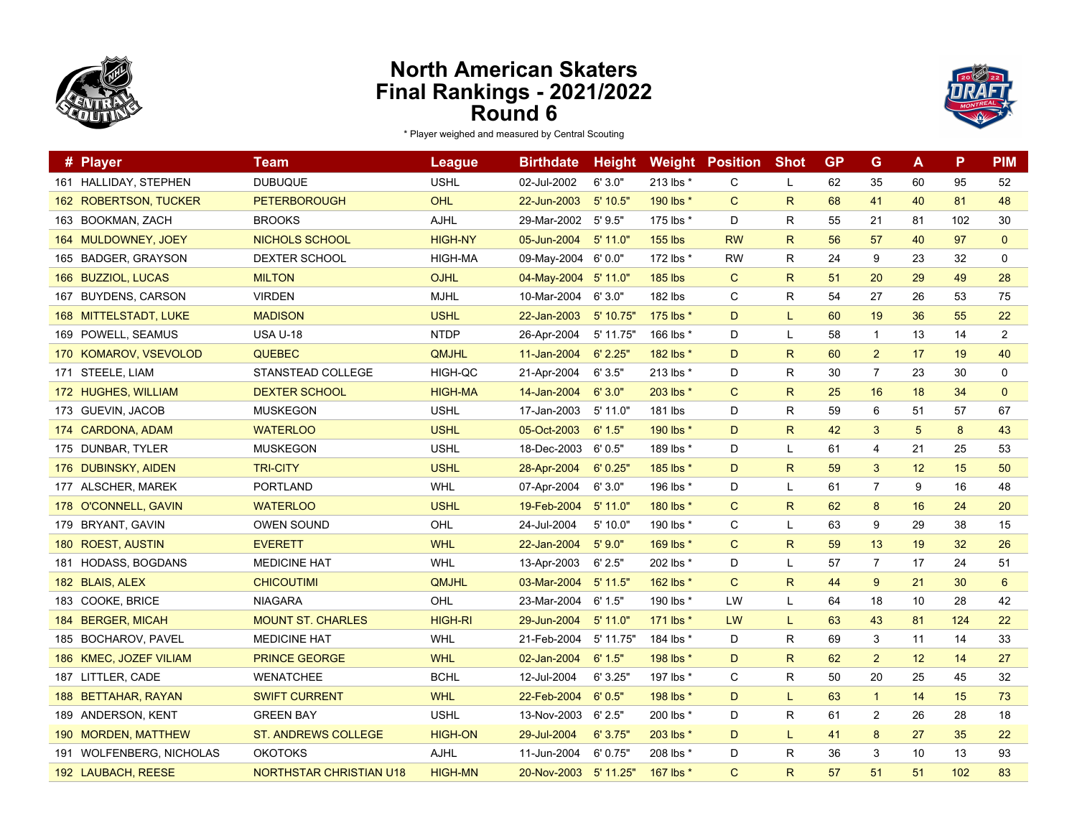



| # Player                 | Team                           | League         | <b>Birthdate</b>      | <b>Height</b> |                | <b>Weight Position</b> | <b>Shot</b>  | <b>GP</b> | G              | A  | P   | <b>PIM</b>     |
|--------------------------|--------------------------------|----------------|-----------------------|---------------|----------------|------------------------|--------------|-----------|----------------|----|-----|----------------|
| 161 HALLIDAY, STEPHEN    | <b>DUBUQUE</b>                 | <b>USHL</b>    | 02-Jul-2002           | 6'3.0"        | 213 lbs *      | C                      | L            | 62        | 35             | 60 | 95  | 52             |
| 162 ROBERTSON, TUCKER    | <b>PETERBOROUGH</b>            | OHL            | 22-Jun-2003           | $5'$ 10.5"    | 190 lbs *      | $\mathsf{C}$           | $\mathsf{R}$ | 68        | 41             | 40 | 81  | 48             |
| 163 BOOKMAN, ZACH        | <b>BROOKS</b>                  | <b>AJHL</b>    | 29-Mar-2002           | 5'9.5"        | 175 lbs *      | D                      | $\mathsf{R}$ | 55        | 21             | 81 | 102 | 30             |
| 164 MULDOWNEY, JOEY      | NICHOLS SCHOOL                 | <b>HIGH-NY</b> | 05-Jun-2004           | $5'$ 11.0"    | <b>155 lbs</b> | <b>RW</b>              | $\mathsf{R}$ | 56        | 57             | 40 | 97  | $\mathbf{0}$   |
| 165 BADGER, GRAYSON      | DEXTER SCHOOL                  | HIGH-MA        | 09-May-2004           | 6'0.0"        | 172 lbs *      | <b>RW</b>              | $\mathsf{R}$ | 24        | 9              | 23 | 32  | $\mathbf 0$    |
| 166 BUZZIOL, LUCAS       | <b>MILTON</b>                  | <b>OJHL</b>    | 04-May-2004           | 5'11.0"       | <b>185 lbs</b> | $\mathsf{C}$           | $\mathsf{R}$ | 51        | 20             | 29 | 49  | 28             |
| 167 BUYDENS, CARSON      | <b>VIRDEN</b>                  | <b>MJHL</b>    | 10-Mar-2004           | 6'3.0"        | 182 lbs        | C                      | R            | 54        | 27             | 26 | 53  | 75             |
| 168 MITTELSTADT, LUKE    | <b>MADISON</b>                 | <b>USHL</b>    | 22-Jan-2003           | 5' 10.75'     | 175 lbs *      | D                      | L.           | 60        | 19             | 36 | 55  | 22             |
| 169 POWELL, SEAMUS       | <b>USA U-18</b>                | <b>NTDP</b>    | 26-Apr-2004           | 5' 11.75"     | 166 lbs *      | D                      | L            | 58        | $\mathbf{1}$   | 13 | 14  | 2              |
| 170 KOMAROV, VSEVOLOD    | <b>QUEBEC</b>                  | <b>QMJHL</b>   | 11-Jan-2004           | 6' 2.25"      | 182 lbs *      | D                      | $\mathsf{R}$ | 60        | 2              | 17 | 19  | 40             |
| 171 STEELE, LIAM         | STANSTEAD COLLEGE              | HIGH-QC        | 21-Apr-2004           | 6'3.5"        | 213 lbs *      | D                      | $\mathsf{R}$ | 30        | $\overline{7}$ | 23 | 30  | 0              |
| 172 HUGHES, WILLIAM      | <b>DEXTER SCHOOL</b>           | <b>HIGH-MA</b> | 14-Jan-2004           | 6'3.0"        | 203 lbs *      | $\mathsf{C}$           | $\mathsf{R}$ | 25        | 16             | 18 | 34  | $\mathbf{0}$   |
| 173 GUEVIN, JACOB        | <b>MUSKEGON</b>                | <b>USHL</b>    | 17-Jan-2003           | 5' 11.0"      | 181 lbs        | D                      | $\mathsf{R}$ | 59        | 6              | 51 | 57  | 67             |
| 174 CARDONA, ADAM        | <b>WATERLOO</b>                | <b>USHL</b>    | 05-Oct-2003           | 6' 1.5"       | 190 lbs *      | D                      | $\mathsf{R}$ | 42        | 3              | 5  | 8   | 43             |
| 175 DUNBAR, TYLER        | <b>MUSKEGON</b>                | <b>USHL</b>    | 18-Dec-2003           | 6'0.5"        | 189 lbs *      | D                      | L            | 61        | 4              | 21 | 25  | 53             |
| 176 DUBINSKY, AIDEN      | <b>TRI-CITY</b>                | <b>USHL</b>    | 28-Apr-2004           | 6'0.25"       | 185 lbs *      | D                      | $\mathsf{R}$ | 59        | 3              | 12 | 15  | 50             |
| 177 ALSCHER, MAREK       | <b>PORTLAND</b>                | <b>WHL</b>     | 07-Apr-2004           | 6'3.0"        | 196 lbs *      | D                      | L            | 61        | 7              | 9  | 16  | 48             |
| 178 O'CONNELL, GAVIN     | <b>WATERLOO</b>                | <b>USHL</b>    | 19-Feb-2004           | $5'$ 11.0"    | 180 lbs *      | $\mathsf{C}$           | $\mathsf{R}$ | 62        | 8              | 16 | 24  | 20             |
| 179 BRYANT, GAVIN        | <b>OWEN SOUND</b>              | OHL            | 24-Jul-2004           | 5' 10.0"      | 190 lbs *      | C                      | L            | 63        | 9              | 29 | 38  | 15             |
| 180 ROEST, AUSTIN        | <b>EVERETT</b>                 | <b>WHL</b>     | 22-Jan-2004           | 5'9.0"        | 169 lbs *      | $\mathsf{C}$           | $\mathsf{R}$ | 59        | 13             | 19 | 32  | 26             |
| 181 HODASS, BOGDANS      | <b>MEDICINE HAT</b>            | <b>WHL</b>     | 13-Apr-2003           | 6' 2.5"       | 202 lbs *      | D                      | L            | 57        | $\overline{7}$ | 17 | 24  | 51             |
| 182 BLAIS, ALEX          | <b>CHICOUTIMI</b>              | <b>QMJHL</b>   | 03-Mar-2004           | $5'$ 11.5"    | 162 lbs *      | $\mathsf{C}$           | $\mathsf{R}$ | 44        | 9              | 21 | 30  | $6\phantom{1}$ |
| 183 COOKE, BRICE         | <b>NIAGARA</b>                 | OHL            | 23-Mar-2004           | 6' 1.5"       | 190 lbs *      | LW                     | L            | 64        | 18             | 10 | 28  | 42             |
| 184 BERGER, MICAH        | <b>MOUNT ST. CHARLES</b>       | <b>HIGH-RI</b> | 29-Jun-2004           | $5'$ 11.0"    | 171 lbs *      | LW                     | L.           | 63        | 43             | 81 | 124 | 22             |
| 185 BOCHAROV, PAVEL      | <b>MEDICINE HAT</b>            | WHL            | 21-Feb-2004           | 5' 11.75'     | 184 lbs *      | D                      | R            | 69        | 3              | 11 | 14  | 33             |
| 186 KMEC, JOZEF VILIAM   | <b>PRINCE GEORGE</b>           | <b>WHL</b>     | 02-Jan-2004           | 6' 1.5"       | 198 lbs *      | D                      | $\mathsf{R}$ | 62        | 2              | 12 | 14  | 27             |
| 187 LITTLER, CADE        | <b>WENATCHEE</b>               | <b>BCHL</b>    | 12-Jul-2004           | 6'3.25"       | 197 lbs *      | C                      | $\mathsf{R}$ | 50        | 20             | 25 | 45  | 32             |
| 188 BETTAHAR, RAYAN      | <b>SWIFT CURRENT</b>           | <b>WHL</b>     | 22-Feb-2004           | 6'0.5"        | 198 lbs *      | D                      | L.           | 63        | $\mathbf{1}$   | 14 | 15  | 73             |
| 189 ANDERSON, KENT       | <b>GREEN BAY</b>               | <b>USHL</b>    | 13-Nov-2003           | 6' 2.5"       | 200 lbs *      | D                      | R            | 61        | $\overline{2}$ | 26 | 28  | 18             |
| 190 MORDEN, MATTHEW      | <b>ST. ANDREWS COLLEGE</b>     | <b>HIGH-ON</b> | 29-Jul-2004           | 6'3.75''      | 203 lbs *      | D                      | L.           | 41        | 8              | 27 | 35  | 22             |
| 191 WOLFENBERG, NICHOLAS | <b>OKOTOKS</b>                 | AJHL           | 11-Jun-2004           | 6'0.75"       | 208 lbs *      | D                      | R            | 36        | 3              | 10 | 13  | 93             |
| 192 LAUBACH, REESE       | <b>NORTHSTAR CHRISTIAN U18</b> | <b>HIGH-MN</b> | 20-Nov-2003 5' 11.25" |               | 167 lbs *      | $\mathsf{C}$           | $\mathsf{R}$ | 57        | 51             | 51 | 102 | 83             |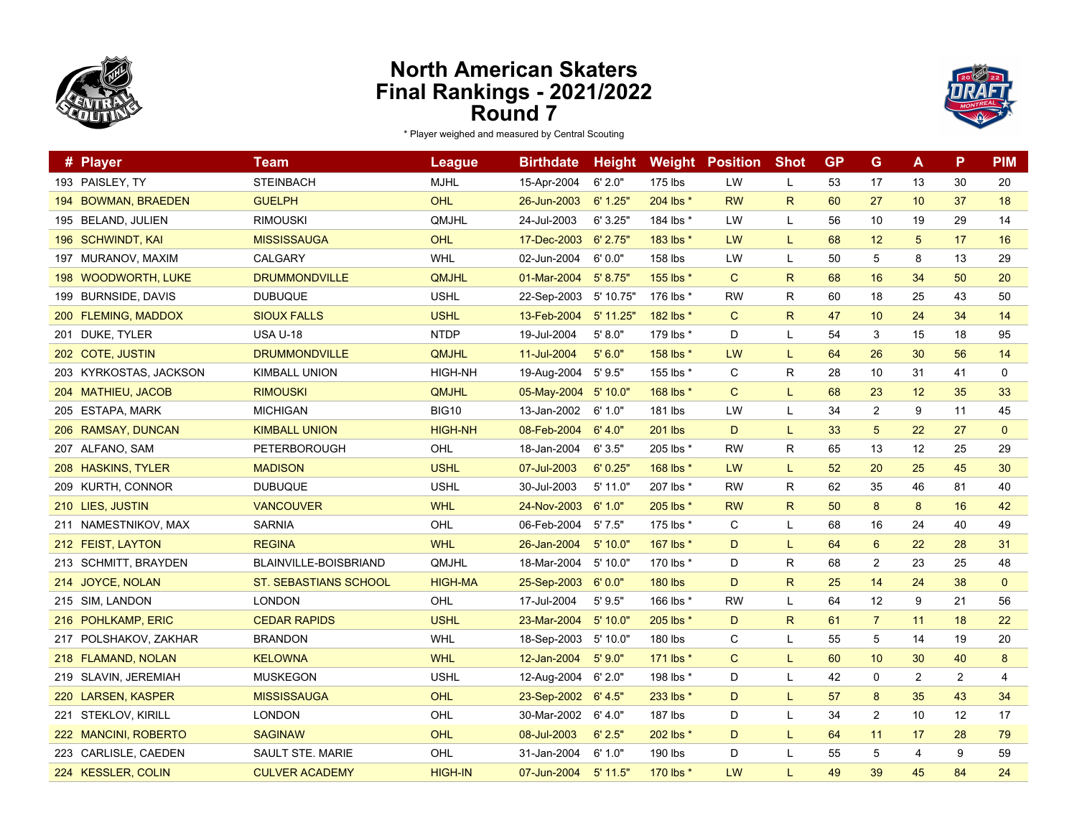



|     | # Player               | Team                         | <b>League</b>  | <b>Birthdate</b>     | <b>Height</b> | Weight         | <b>Position</b> | <b>Shot</b>  | <b>GP</b> | G               | A              | P  | <b>PIM</b>   |
|-----|------------------------|------------------------------|----------------|----------------------|---------------|----------------|-----------------|--------------|-----------|-----------------|----------------|----|--------------|
|     | 193 PAISLEY, TY        | <b>STEINBACH</b>             | <b>MJHL</b>    | 15-Apr-2004          | 6' 2.0"       | 175 lbs        | LW              | L            | 53        | 17              | 13             | 30 | 20           |
|     | 194 BOWMAN, BRAEDEN    | <b>GUELPH</b>                | OHL            | 26-Jun-2003          | 6' 1.25"      | 204 lbs *      | <b>RW</b>       | R            | 60        | 27              | 10             | 37 | 18           |
|     | 195 BELAND, JULIEN     | <b>RIMOUSKI</b>              | QMJHL          | 24-Jul-2003          | 6'3.25"       | 184 lbs *      | LW              | L            | 56        | 10              | 19             | 29 | 14           |
|     | 196 SCHWINDT, KAI      | <b>MISSISSAUGA</b>           | <b>OHL</b>     | 17-Dec-2003          | $6'$ 2.75"    | 183 lbs *      | <b>LW</b>       | L            | 68        | 12              | 5              | 17 | 16           |
| 197 | MURANOV, MAXIM         | CALGARY                      | <b>WHL</b>     | 02-Jun-2004          | 6'0.0"        | 158 lbs        | LW              | L            | 50        | 5               | 8              | 13 | 29           |
|     | 198 WOODWORTH, LUKE    | <b>DRUMMONDVILLE</b>         | <b>QMJHL</b>   | 01-Mar-2004          | 5' 8.75"      | 155 lbs *      | $\mathbf{C}$    | R.           | 68        | 16              | 34             | 50 | 20           |
|     | 199 BURNSIDE, DAVIS    | <b>DUBUQUE</b>               | <b>USHL</b>    | 22-Sep-2003          | 5' 10.75'     | 176 lbs *      | <b>RW</b>       | R            | 60        | 18              | 25             | 43 | 50           |
|     | 200 FLEMING, MADDOX    | <b>SIOUX FALLS</b>           | <b>USHL</b>    | 13-Feb-2004          | 5' 11.25"     | 182 lbs *      | $\mathsf{C}$    | R            | 47        | 10              | 24             | 34 | 14           |
|     | 201 DUKE, TYLER        | <b>USA U-18</b>              | <b>NTDP</b>    | 19-Jul-2004          | 5' 8.0"       | 179 lbs *      | D               | L            | 54        | 3               | 15             | 18 | 95           |
|     | 202 COTE, JUSTIN       | <b>DRUMMONDVILLE</b>         | <b>QMJHL</b>   | 11-Jul-2004          | 5'6.0"        | 158 lbs *      | LW              | L            | 64        | 26              | 30             | 56 | 14           |
|     | 203 KYRKOSTAS, JACKSON | <b>KIMBALL UNION</b>         | <b>HIGH-NH</b> | 19-Aug-2004          | 5'9.5"        | 155 lbs *      | C               | R            | 28        | 10              | 31             | 41 | 0            |
|     | 204 MATHIEU, JACOB     | <b>RIMOUSKI</b>              | QMJHL          | 05-May-2004 5' 10.0" |               | 168 lbs *      | $\mathsf{C}$    | L            | 68        | 23              | 12             | 35 | 33           |
|     | 205 ESTAPA, MARK       | <b>MICHIGAN</b>              | <b>BIG10</b>   | 13-Jan-2002          | 6' 1.0"       | 181 lbs        | LW              | L            | 34        | $\overline{2}$  | 9              | 11 | 45           |
|     | 206 RAMSAY, DUNCAN     | <b>KIMBALL UNION</b>         | <b>HIGH-NH</b> | 08-Feb-2004          | 6' 4.0"       | 201 lbs        | D               | L            | 33        | $5\phantom{.0}$ | 22             | 27 | $\mathbf{0}$ |
|     | 207 ALFANO, SAM        | PETERBOROUGH                 | OHL            | 18-Jan-2004          | 6'3.5"        | 205 lbs *      | <b>RW</b>       | R            | 65        | 13              | 12             | 25 | 29           |
|     | 208 HASKINS, TYLER     | <b>MADISON</b>               | <b>USHL</b>    | 07-Jul-2003          | 6'0.25''      | 168 lbs *      | <b>LW</b>       | L.           | 52        | 20              | 25             | 45 | 30           |
|     | 209 KURTH, CONNOR      | <b>DUBUQUE</b>               | <b>USHL</b>    | 30-Jul-2003          | $5'$ 11.0"    | 207 lbs *      | <b>RW</b>       | R            | 62        | 35              | 46             | 81 | 40           |
|     | 210 LIES, JUSTIN       | <b>VANCOUVER</b>             | <b>WHL</b>     | 24-Nov-2003          | 6' 1.0"       | 205 lbs *      | <b>RW</b>       | $\mathsf{R}$ | 50        | 8               | 8              | 16 | 42           |
|     | 211 NAMESTNIKOV, MAX   | <b>SARNIA</b>                | OHL            | 06-Feb-2004          | 5'7.5"        | 175 lbs *      | C               | L            | 68        | 16              | 24             | 40 | 49           |
|     | 212 FEIST, LAYTON      | <b>REGINA</b>                | <b>WHL</b>     | 26-Jan-2004          | 5'10.0"       | 167 lbs *      | D               | L            | 64        | $6\phantom{1}$  | 22             | 28 | 31           |
|     | 213 SCHMITT, BRAYDEN   | <b>BLAINVILLE-BOISBRIAND</b> | <b>QMJHL</b>   | 18-Mar-2004          | 5'10.0"       | 170 lbs *      | D               | R            | 68        | 2               | 23             | 25 | 48           |
|     | 214 JOYCE, NOLAN       | ST. SEBASTIANS SCHOOL        | <b>HIGH-MA</b> | 25-Sep-2003          | 6'0.0"        | <b>180 lbs</b> | D               | R.           | 25        | 14              | 24             | 38 | $\mathbf{0}$ |
|     | 215 SIM, LANDON        | <b>LONDON</b>                | OHL            | 17-Jul-2004          | 5'9.5"        | 166 lbs *      | <b>RW</b>       | L.           | 64        | 12              | 9              | 21 | 56           |
|     | 216 POHLKAMP, ERIC     | <b>CEDAR RAPIDS</b>          | <b>USHL</b>    | 23-Mar-2004          | 5'10.0"       | 205 lbs *      | D               | $\mathsf{R}$ | 61        | $\overline{7}$  | 11             | 18 | 22           |
|     | 217 POLSHAKOV, ZAKHAR  | <b>BRANDON</b>               | <b>WHL</b>     | 18-Sep-2003          | 5' 10.0"      | 180 lbs        | C               | L            | 55        | 5               | 14             | 19 | 20           |
|     | 218 FLAMAND, NOLAN     | <b>KELOWNA</b>               | <b>WHL</b>     | 12-Jan-2004          | 5'9.0"        | 171 lbs *      | $\mathsf{C}$    | L            | 60        | 10              | 30             | 40 | 8            |
|     | 219 SLAVIN, JEREMIAH   | <b>MUSKEGON</b>              | <b>USHL</b>    | 12-Aug-2004          | 6'2.0"        | 198 lbs *      | D               | L            | 42        | $\pmb{0}$       | $\overline{c}$ | 2  | 4            |
|     | 220 LARSEN, KASPER     | <b>MISSISSAUGA</b>           | OHL            | 23-Sep-2002          | 6' 4.5"       | 233 lbs *      | D               |              | 57        | 8               | 35             | 43 | 34           |
| 221 | <b>STEKLOV, KIRILL</b> | <b>LONDON</b>                | OHL            | 30-Mar-2002          | 6' 4.0"       | 187 lbs        | D               | L            | 34        | $\overline{2}$  | 10             | 12 | 17           |
|     | 222 MANCINI, ROBERTO   | <b>SAGINAW</b>               | OHL            | 08-Jul-2003          | 6' 2.5"       | 202 lbs *      | D               | L            | 64        | 11              | 17             | 28 | 79           |
|     | 223 CARLISLE, CAEDEN   | <b>SAULT STE. MARIE</b>      | OHL            | 31-Jan-2004          | 6' 1.0"       | 190 lbs        | D               | L            | 55        | 5               | 4              | 9  | 59           |
|     | 224 KESSLER, COLIN     | <b>CULVER ACADEMY</b>        | <b>HIGH-IN</b> | 07-Jun-2004          | $5'$ 11.5"    | 170 lbs *      | LW              | L.           | 49        | 39              | 45             | 84 | 24           |
|     |                        |                              |                |                      |               |                |                 |              |           |                 |                |    |              |